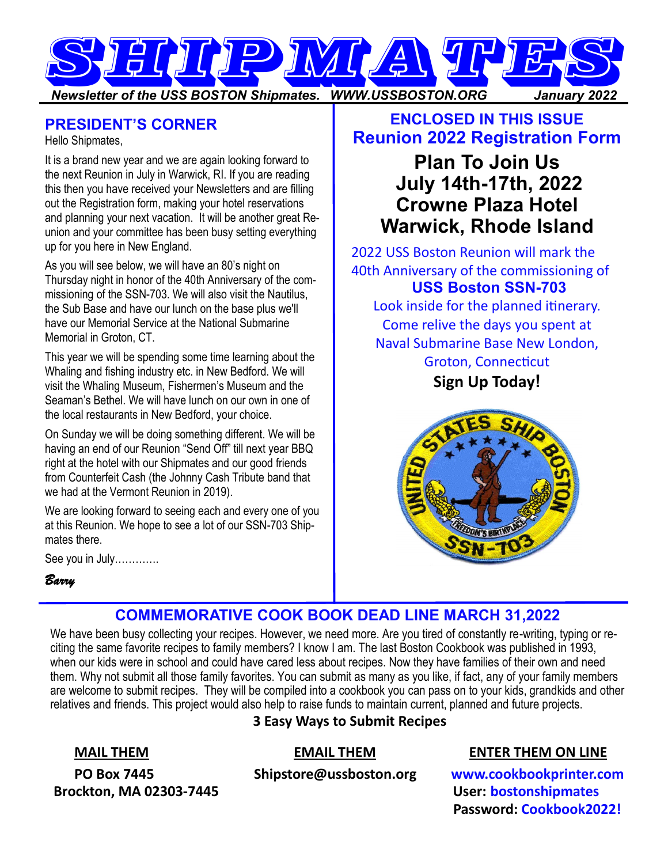

#### **PRESIDENT'S CORNER**

Hello Shipmates,

It is a brand new year and we are again looking forward to the next Reunion in July in Warwick, RI. If you are reading this then you have received your Newsletters and are filling out the Registration form, making your hotel reservations and planning your next vacation. It will be another great Reunion and your committee has been busy setting everything up for you here in New England.

As you will see below, we will have an 80's night on Thursday night in honor of the 40th Anniversary of the commissioning of the SSN-703. We will also visit the Nautilus, the Sub Base and have our lunch on the base plus we'll have our Memorial Service at the National Submarine Memorial in Groton, CT.

This year we will be spending some time learning about the Whaling and fishing industry etc. in New Bedford. We will visit the Whaling Museum, Fishermen's Museum and the Seaman's Bethel. We will have lunch on our own in one of the local restaurants in New Bedford, your choice.

On Sunday we will be doing something different. We will be having an end of our Reunion "Send Off" till next year BBQ right at the hotel with our Shipmates and our good friends from Counterfeit Cash (the Johnny Cash Tribute band that we had at the Vermont Reunion in 2019).

We are looking forward to seeing each and every one of you at this Reunion. We hope to see a lot of our SSN-703 Shipmates there.

See you in July………….

#### *Barry*

# **ENCLOSED IN THIS ISSUE Reunion 2022 Registration Form**

# **Plan To Join Us July 14th-17th, 2022 Crowne Plaza Hotel Warwick, Rhode Island**

2022 USS Boston Reunion will mark the 40th Anniversary of the commissioning of **USS Boston SSN-703**

Look inside for the planned itinerary. Come relive the days you spent at Naval Submarine Base New London, Groton, Connecticut

**Sign Up Today!**



## **COMMEMORATIVE COOK BOOK DEAD LINE MARCH 31,2022**

We have been busy collecting your recipes. However, we need more. Are you tired of constantly re-writing, typing or reciting the same favorite recipes to family members? I know I am. The last Boston Cookbook was published in 1993, when our kids were in school and could have cared less about recipes. Now they have families of their own and need them. Why not submit all those family favorites. You can submit as many as you like, if fact, any of your family members are welcome to submit recipes. They will be compiled into a cookbook you can pass on to your kids, grandkids and other relatives and friends. This project would also help to raise funds to maintain current, planned and future projects. **3 Easy Ways to Submit Recipes**

**Brockton, MA 02303-7445** User: **bostonshipmates** 

#### **MAIL THEM EMAIL THEM ENTER THEM ON LINE**

 **PO Box 7445 Shipstore@ussboston.org www.cookbookprinter.com Password: Cookbook2022!**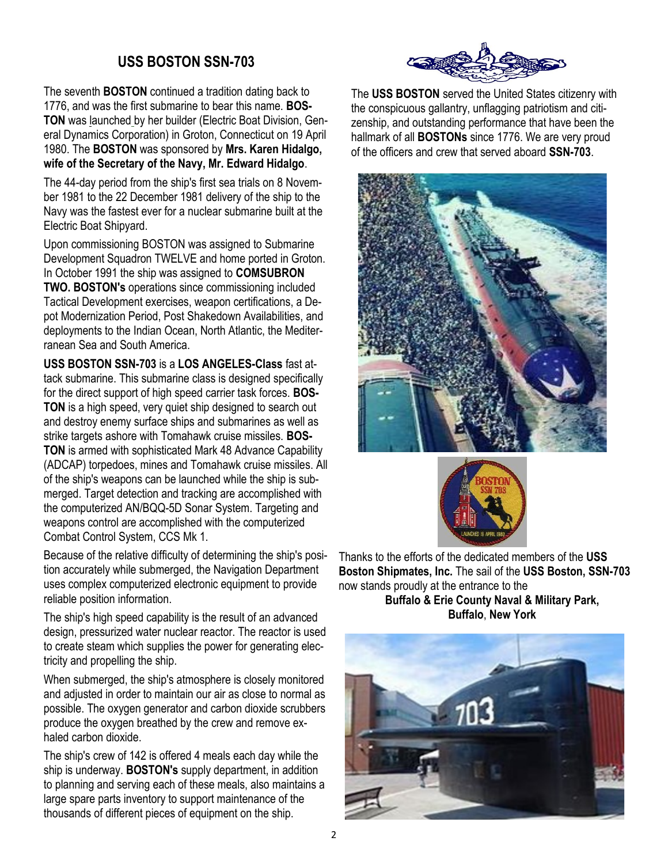#### **USS BOSTON SSN-703**

The seventh **BOSTON** continued a tradition dating back to 1776, and was the first submarine to bear this name. **BOS-TON** was [launched](http://www.ussboston.org/img/launching.gif) by her builder (Electric Boat Division, General Dynamics Corporation) in Groton, Connecticut on [19 April](http://www.ussboston.org/img/afloat.gif)  [1980.](http://www.ussboston.org/img/afloat.gif) The **BOSTON** was sponsored by **Mrs. Karen Hidalgo, wife of the Secretary of the Navy, Mr. Edward Hidalgo**.

The 44-day period from the ship's first [sea trials](http://www.ussboston.org/img/seatrial.gif) on 8 November 1981 to the 22 December 1981 delivery of the ship to the Navy was the fastest ever for a nuclear submarine built at the Electric Boat Shipyard.

Upon commissioning BOSTON was assigned to Submarine Development Squadron TWELVE and home ported in Groton. In October 1991 the ship was assigned to **COMSUBRON TWO. BOSTON's** operations since commissioning included Tactical Development exercises, weapon certifications, a Depot Modernization Period, Post Shakedown Availabilities, and deployments to the Indian Ocean, North Atlantic, the Mediterranean Sea and South America.

**USS BOSTON SSN-703** is a **LOS ANGELES-Class** fast attack submarine. This submarine class is designed specifically for the direct support of high speed carrier task forces. **BOS-TON** is a high speed, very quiet ship designed to search out and destroy enemy surface ships and submarines as well as strike targets ashore with Tomahawk cruise missiles. **BOS-TON** is armed with sophisticated Mark 48 Advance Capability (ADCAP) torpedoes, mines and Tomahawk cruise missiles. All of the ship's weapons can be launched while the ship is submerged. Target detection and tracking are accomplished with the computerized AN/BQQ-5D Sonar System. Targeting and weapons control are accomplished with the computerized Combat Control System, CCS Mk 1.

Because of the relative difficulty of determining the ship's position accurately while submerged, the Navigation Department uses complex computerized electronic equipment to provide reliable position information.

The ship's high speed capability is the result of an advanced design, pressurized water nuclear reactor. The reactor is used to create steam which supplies the power for generating electricity and propelling the ship.

When submerged, the ship's atmosphere is closely monitored and adjusted in order to maintain our air as close to normal as possible. The oxygen generator and carbon dioxide scrubbers produce the oxygen breathed by the crew and remove exhaled carbon dioxide.

The ship's crew of 142 is offered 4 meals each day while the ship is underway. **BOSTON's** supply department, in addition to planning and serving each of these meals, also maintains a large spare parts inventory to support maintenance of the thousands of different pieces of equipment on the ship.



The **USS BOSTON** served the United States citizenry with the conspicuous gallantry, unflagging patriotism and citizenship, and outstanding performance that have been the hallmark of all **BOSTONs** since 1776. We are very proud of the officers and crew that served aboard **SSN-703**.





Thanks to the efforts of the dedicated members of the **USS Boston Shipmates, Inc.** The sail of the **USS Boston, SSN-703**  now stands proudly at the entrance to the

**Buffalo & Erie County Naval & Military Park, Buffalo**, **New York**

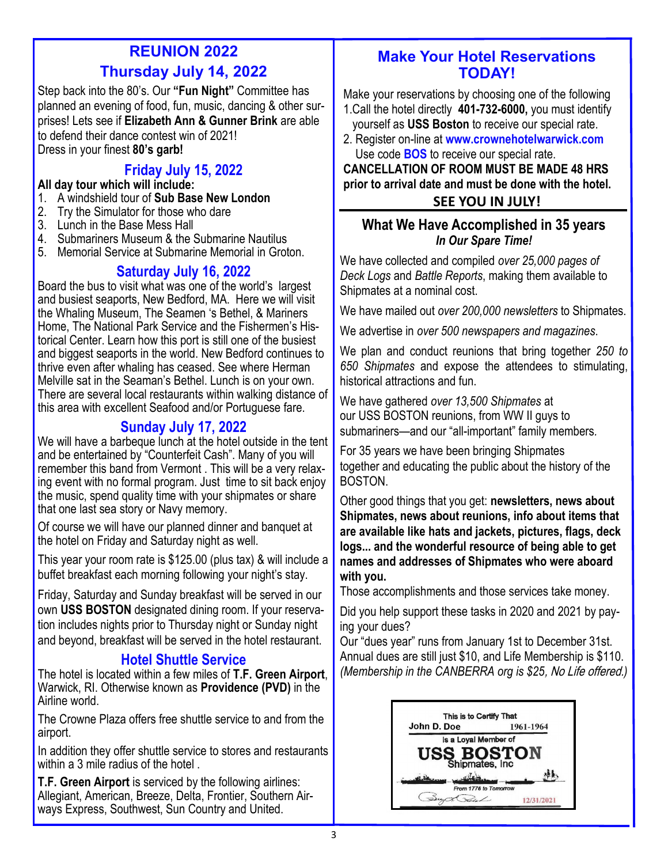# **REUNION 2022 Thursday July 14, 2022**

Step back into the 80's. Our **"Fun Night"** Committee has planned an evening of food, fun, music, dancing & other surprises! Lets see if **Elizabeth Ann & Gunner Brink** are able to defend their dance contest win of 2021! Dress in your finest **80's garb!** 

## **Friday July 15, 2022**

#### **All day tour which will include:**

- 1. A windshield tour of **Sub Base New London**
- 2. Try the Simulator for those who dare
- 3. Lunch in the Base Mess Hall
- 4. Submariners Museum & the Submarine Nautilus
- 5. Memorial Service at Submarine Memorial in Groton.

## **Saturday July 16, 2022**

Board the bus to visit what was one of the world's largest and busiest seaports, New Bedford, MA. Here we will visit the Whaling Museum, The Seamen 's Bethel, & Mariners Home, The National Park Service and the Fishermen's Historical Center. Learn how this port is still one of the busiest and biggest seaports in the world. New Bedford continues to thrive even after whaling has ceased. See where Herman Melville sat in the Seaman's Bethel. Lunch is on your own. There are several local restaurants within walking distance of this area with excellent Seafood and/or Portuguese fare.

## **Sunday July 17, 2022**

We will have a barbeque lunch at the hotel outside in the tent and be entertained by "Counterfeit Cash". Many of you will remember this band from Vermont . This will be a very relaxing event with no formal program. Just time to sit back enjoy the music, spend quality time with your shipmates or share that one last sea story or Navy memory.

Of course we will have our planned dinner and banquet at the hotel on Friday and Saturday night as well.

This year your room rate is \$125.00 (plus tax) & will include a buffet breakfast each morning following your night's stay.

Friday, Saturday and Sunday breakfast will be served in our own **USS BOSTON** designated dining room. If your reservation includes nights prior to Thursday night or Sunday night and beyond, breakfast will be served in the hotel restaurant.

## **Hotel Shuttle Service**

The hotel is located within a few miles of **T.F. Green Airport**, Warwick, RI. Otherwise known as **Providence (PVD)** in the Airline world.

The Crowne Plaza offers free shuttle service to and from the airport.

In addition they offer shuttle service to stores and restaurants within a 3 mile radius of the hotel

**T.F. Green Airport** is serviced by the following airlines: Allegiant, American, Breeze, Delta, Frontier, Southern Airways Express, Southwest, Sun Country and United.

## **Make Your Hotel Reservations TODAY!**

Make your reservations by choosing one of the following 1.Call the hotel directly **401-732-6000,** you must identify yourself as **USS Boston** to receive our special rate.

2. Register on-line at **www.crownehotelwarwick.com** Use code **BOS** to receive our special rate.

#### **CANCELLATION OF ROOM MUST BE MADE 48 HRS prior to arrival date and must be done with the hotel. SEE YOU IN JULY!**

#### **What We Have Accomplished in 35 years**  *In Our Spare Time!*

We have collected and compiled *over 25,000 pages of Deck Logs* and *Battle Reports*, making them available to Shipmates at a nominal cost.

We have mailed out *over 200,000 newsletters* to Shipmates.

We advertise in *over 500 newspapers and magazines*.

We plan and conduct reunions that bring together *250 to 650 Shipmates* and expose the attendees to stimulating, historical attractions and fun.

We have gathered *over 13,500 Shipmates* at our USS BOSTON reunions, from WW II guys to submariners—and our "all-important" family members*.* 

For 35 years we have been bringing Shipmates together and educating the public about the history of the BOSTON.

Other good things that you get: **newsletters, news about Shipmates, news about reunions, info about items that are available like hats and jackets, pictures, flags, deck logs... and the wonderful resource of being able to get names and addresses of Shipmates who were aboard with you.** 

Those accomplishments and those services take money.

Did you help support these tasks in 2020 and 2021 by paying your dues?

Our "dues year" runs from January 1st to December 31st. Annual dues are still just \$10, and Life Membership is \$110. *(Membership in the CANBERRA org is \$25*, No Life offered.*)*